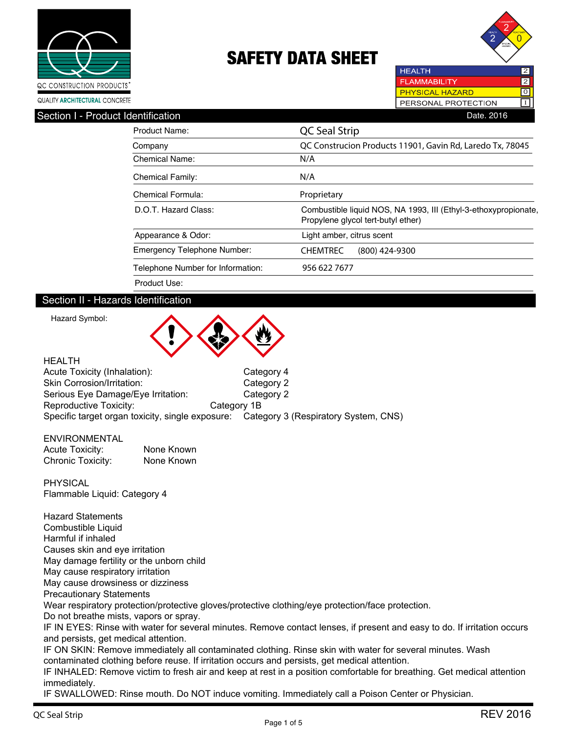



**FLAMMABILITY**  $\overline{2}$ **PHYSICAL HAZARD** लि IPERSONAL PROTECTION

**HEALTH** 

| Section I - Product Identification | Date, 2016                                                                                            |
|------------------------------------|-------------------------------------------------------------------------------------------------------|
| <b>Product Name:</b>               | QC Seal Strip                                                                                         |
| Company                            | QC Construcion Products 11901, Gavin Rd, Laredo Tx, 78045                                             |
| Chemical Name:                     | N/A                                                                                                   |
| <b>Chemical Family:</b>            | N/A                                                                                                   |
| Chemical Formula:                  | Proprietary                                                                                           |
| D.O.T. Hazard Class:               | Combustible liquid NOS, NA 1993, III (Ethyl-3-ethoxypropionate,<br>Propylene glycol tert-butyl ether) |
| Appearance & Odor:                 | Light amber, citrus scent                                                                             |
| <b>Emergency Telephone Number:</b> | <b>CHEMTREC</b><br>$(800)$ 424-9300                                                                   |
| Telephone Number for Information:  | 956 622 7677                                                                                          |
| Product Use:                       |                                                                                                       |

## Section II - Hazards Identification

Hazard Symbol:



| <b>HEALTH</b>                      |                                                                                       |
|------------------------------------|---------------------------------------------------------------------------------------|
| Acute Toxicity (Inhalation):       | Category 4                                                                            |
| Skin Corrosion/Irritation:         | Category 2                                                                            |
| Serious Eye Damage/Eye Irritation: | Category 2                                                                            |
| Reproductive Toxicity:             | Category 1B                                                                           |
|                                    | Specific target organ toxicity, single exposure: Category 3 (Respiratory System, CNS) |

#### ENVIRONMENTAL Acute Toxicity: None Known Chronic Toxicity: None Known

PHYSICAL Flammable Liquid: Category 4

Hazard Statements Combustible Liquid Harmful if inhaled Causes skin and eye irritation May damage fertility or the unborn child May cause respiratory irritation May cause drowsiness or dizziness Precautionary Statements Wear respiratory protection/protective gloves/protective clothing/eye protection/face protection. Do not breathe mists, vapors or spray. IF IN EYES: Rinse with water for several minutes. Remove contact lenses, if present and easy to do. If irritation occurs and persists, get medical attention. IF ON SKIN: Remove immediately all contaminated clothing. Rinse skin with water for several minutes. Wash contaminated clothing before reuse. If irritation occurs and persists, get medical attention. IF INHALED: Remove victim to fresh air and keep at rest in a position comfortable for breathing. Get medical attention

immediately. IF SWALLOWED: Rinse mouth. Do NOT induce vomiting. Immediately call a Poison Center or Physician.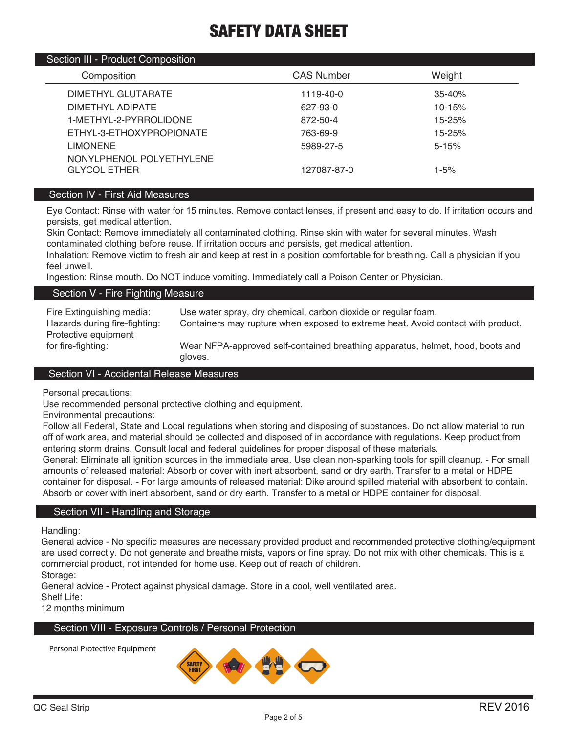#### Section III - Product Composition

| Composition                                     | <b>CAS Number</b> | Weight     |  |
|-------------------------------------------------|-------------------|------------|--|
| DIMETHYL GLUTARATE                              | 1119-40-0         | $35 - 40%$ |  |
| DIMETHYL ADIPATE                                | 627-93-0          | $10 - 15%$ |  |
| 1-METHYL-2-PYRROLIDONE                          | 872-50-4          | 15-25%     |  |
| ETHYL-3-ETHOXYPROPIONATE                        | 763-69-9          | 15-25%     |  |
| <b>LIMONENE</b>                                 | 5989-27-5         | $5 - 15%$  |  |
| NONYLPHENOL POLYETHYLENE<br><b>GLYCOL ETHER</b> | 127087-87-0       | $1 - 5%$   |  |
|                                                 |                   |            |  |

## Section IV - First Aid Measures

Eye Contact: Rinse with water for 15 minutes. Remove contact lenses, if present and easy to do. If irritation occurs and persists, get medical attention.

Skin Contact: Remove immediately all contaminated clothing. Rinse skin with water for several minutes. Wash contaminated clothing before reuse. If irritation occurs and persists, get medical attention.

Inhalation: Remove victim to fresh air and keep at rest in a position comfortable for breathing. Call a physician if you feel unwell.

Ingestion: Rinse mouth. Do NOT induce vomiting. Immediately call a Poison Center or Physician.

#### Section V - Fire Fighting Measure

| Use water spray, dry chemical, carbon dioxide or regular foam.                            |
|-------------------------------------------------------------------------------------------|
| Containers may rupture when exposed to extreme heat. Avoid contact with product.          |
|                                                                                           |
| Wear NFPA-approved self-contained breathing apparatus, helmet, hood, boots and<br>gloves. |
|                                                                                           |

#### Section VI - Accidental Release Measures

Personal precautions:

Use recommended personal protective clothing and equipment.

Environmental precautions:

Follow all Federal, State and Local regulations when storing and disposing of substances. Do not allow material to run off of work area, and material should be collected and disposed of in accordance with regulations. Keep product from entering storm drains. Consult local and federal guidelines for proper disposal of these materials.

General: Eliminate all ignition sources in the immediate area. Use clean non-sparking tools for spill cleanup. - For small amounts of released material: Absorb or cover with inert absorbent, sand or dry earth. Transfer to a metal or HDPE container for disposal. - For large amounts of released material: Dike around spilled material with absorbent to contain. Absorb or cover with inert absorbent, sand or dry earth. Transfer to a metal or HDPE container for disposal.

### Section VII - Handling and Storage

Handling:

General advice - No specific measures are necessary provided product and recommended protective clothing/equipment are used correctly. Do not generate and breathe mists, vapors or fine spray. Do not mix with other chemicals. This is a commercial product, not intended for home use. Keep out of reach of children.

Storage:

General advice - Protect against physical damage. Store in a cool, well ventilated area.

Shelf Life:

12 months minimum

### Section VIII - Exposure Controls / Personal Protection

Personal Protective Equipment

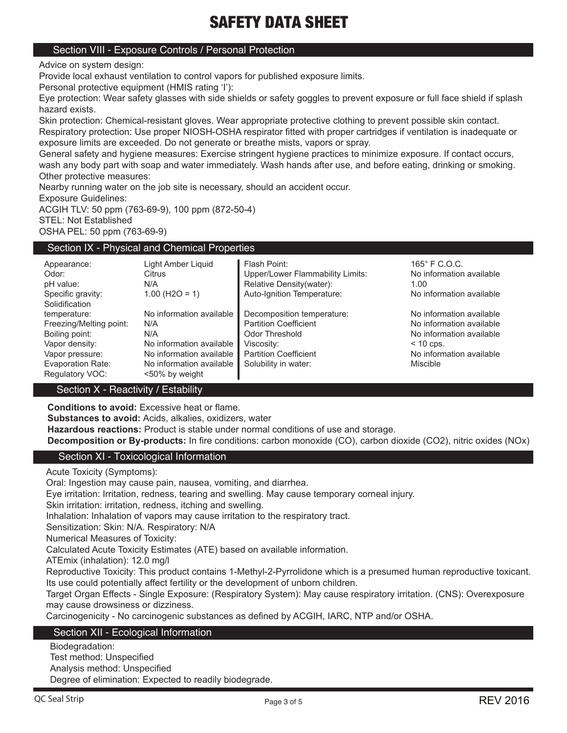### Section VIII - Exposure Controls / Personal Protection

Advice on system design:

Provide local exhaust ventilation to control vapors for published exposure limits.

Personal protective equipment (HMIS rating 'I'):

Eye protection: Wear safety glasses with side shields or safety goggles to prevent exposure or full face shield if splash hazard exists.

Skin protection: Chemical-resistant gloves. Wear appropriate protective clothing to prevent possible skin contact. Respiratory protection: Use proper NIOSH-OSHA respirator fitted with proper cartridges if ventilation is inadequate or exposure limits are exceeded. Do not generate or breathe mists, vapors or spray.

General safety and hygiene measures: Exercise stringent hygiene practices to minimize exposure. If contact occurs, wash any body part with soap and water immediately. Wash hands after use, and before eating, drinking or smoking. Other protective measures:

Nearby running water on the job site is necessary, should an accident occur.

Exposure Guidelines:

ACGIH TLV: 50 ppm (763-69-9), 100 ppm (872-50-4)

STEL: Not Established

OSHA PEL: 50 ppm (763-69-9)

#### Section IX - Physical and Chemical Properties

| Appearance:<br>Odor:<br>pH value:    | Light Amber Liguid<br>Citrus<br>N/A        | Flash Point:<br>Upper/Lower Flammability Limits:<br>Relative Density(water): | $165^{\circ}$ F C.O.C.<br>No information available<br>1.00 |
|--------------------------------------|--------------------------------------------|------------------------------------------------------------------------------|------------------------------------------------------------|
| Specific gravity:<br>Solidification  | $1.00$ (H <sub>2O</sub> = 1)               | Auto-Ignition Temperature:                                                   | No information available                                   |
| temperature:                         | No information available                   | Decomposition temperature:                                                   | No information available                                   |
| Freezing/Melting point:              | N/A                                        | <b>Partition Coefficient</b>                                                 | No information available                                   |
| Boiling point:                       | N/A                                        | Odor Threshold                                                               | No information available                                   |
| Vapor density:                       | No information available                   | Viscosity:                                                                   | $< 10$ cps.                                                |
| Vapor pressure:                      | No information available                   | <b>Partition Coefficient</b>                                                 | No information available                                   |
| Evaporation Rate:<br>Regulatory VOC: | No information available<br><50% by weight | Solubility in water:                                                         | Miscible                                                   |

## Section X - Reactivity / Estability

 **Conditions to avoid:** Excessive heat or flame.

**Substances to avoid:** Acids, alkalies, oxidizers, water

**Hazardous reactions:** Product is stable under normal conditions of use and storage.

**Decomposition or By-products:** In fire conditions: carbon monoxide (CO), carbon dioxide (CO2), nitric oxides (NOx)

### Section XI - Toxicological Information

Acute Toxicity (Symptoms):

Oral: Ingestion may cause pain, nausea, vomiting, and diarrhea.

Eye irritation: Irritation, redness, tearing and swelling. May cause temporary corneal injury.

Skin irritation: irritation, redness, itching and swelling.

Inhalation: Inhalation of vapors may cause irritation to the respiratory tract.

Sensitization: Skin: N/A. Respiratory: N/A

Numerical Measures of Toxicity:

Calculated Acute Toxicity Estimates (ATE) based on available information.

ATEmix (inhalation): 12.0 mg/l

Reproductive Toxicity: This product contains 1-Methyl-2-Pyrrolidone which is a presumed human reproductive toxicant. Its use could potentially affect fertility or the development of unborn children.

Target Organ Effects - Single Exposure: (Respiratory System): May cause respiratory irritation. (CNS): Overexposure may cause drowsiness or dizziness.

Carcinogenicity - No carcinogenic substances as defined by ACGIH, IARC, NTP and/or OSHA.

## Section XII - Ecological Information

Biodegradation: Test method: Unspecified Analysis method: Unspecified Degree of elimination: Expected to readily biodegrade.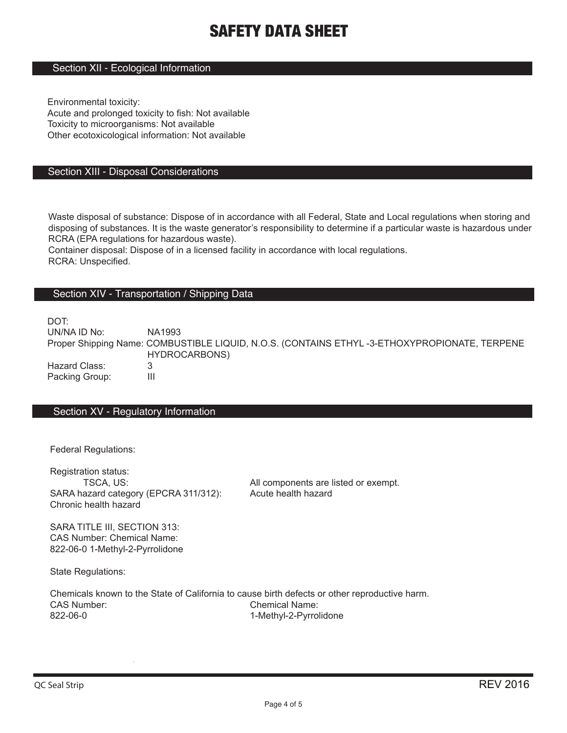## Section XII - Ecological Information

Environmental toxicity: Acute and prolonged toxicity to fish: Not available Toxicity to microorganisms: Not available Other ecotoxicological information: Not available

#### Section XIII - Disposal Considerations

Waste disposal of substance: Dispose of in accordance with all Federal, State and Local regulations when storing and disposing of substances. It is the waste generator's responsibility to determine if a particular waste is hazardous under RCRA (EPA regulations for hazardous waste).

Container disposal: Dispose of in a licensed facility in accordance with local regulations. RCRA: Unspecified.

#### Section XIV - Transportation / Shipping Data

DOT:

UN/NA ID No: NA1993 Proper Shipping Name: COMBUSTIBLE LIQUID, N.O.S. (CONTAINS ETHYL -3-ETHOXYPROPIONATE, TERPENE HYDROCARBONS) Hazard Class: 3 Packing Group: III

#### Section XV - Regulatory Information

Federal Regulations:

Registration status: SARA hazard category (EPCRA 311/312): Chronic health hazard

TSCA, US:  $\overline{A}$  all components are listed or exempt.<br>azard category (EPCRA 311/312): Acute health hazard

SARA TITLE III, SECTION 313: CAS Number: Chemical Name: 822-06-0 1-Methyl-2-Pyrrolidone

State Regulations:

Chemicals known to the State of California to cause birth defects or other reproductive harm. CAS Number: Chemical Name: 822-06-0 1-Methyl-2-Pyrrolidone